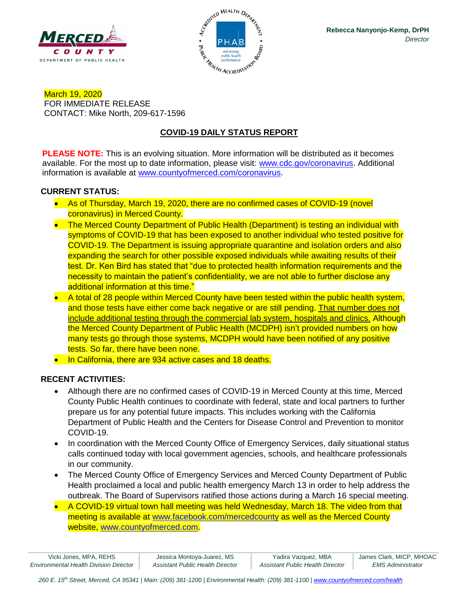



March 19, 2020 FOR IMMEDIATE RELEASE CONTACT: Mike North, 209-617-1596

# **COVID-19 DAILY STATUS REPORT**

**PLEASE NOTE:** This is an evolving situation. More information will be distributed as it becomes available. For the most up to date information, please visit: [www.cdc.gov/coronavirus.](http://www.cdc.gov/coronavirus) Additional information is available at [www.countyofmerced.com/coronavirus.](http://www.countyofmerced.com/coronavirus)

## **CURRENT STATUS:**

- As of Thursday, March 19, 2020, there are no confirmed cases of COVID-19 (novel coronavirus) in Merced County.
- The Merced County Department of Public Health (Department) is testing an individual with symptoms of COVID-19 that has been exposed to another individual who tested positive for COVID-19. The Department is issuing appropriate quarantine and isolation orders and also expanding the search for other possible exposed individuals while awaiting results of their test. Dr. Ken Bird has stated that "due to protected health information requirements and the necessity to maintain the patient's confidentiality, we are not able to further disclose any additional information at this time."
- A total of 28 people within Merced County have been tested within the public health system, and those tests have either come back negative or are still pending. That number does not include additional testing through the commercial lab system, hospitals and clinics. Although the Merced County Department of Public Health (MCDPH) isn't provided numbers on how many tests go through those systems, MCDPH would have been notified of any positive tests. So far, there have been none.
- In California, there are 934 active cases and 18 deaths.

## **RECENT ACTIVITIES:**

- Although there are no confirmed cases of COVID-19 in Merced County at this time, Merced County Public Health continues to coordinate with federal, state and local partners to further prepare us for any potential future impacts. This includes working with the California Department of Public Health and the Centers for Disease Control and Prevention to monitor COVID-19.
- In coordination with the Merced County Office of Emergency Services, daily situational status calls continued today with local government agencies, schools, and healthcare professionals in our community.
- The Merced County Office of Emergency Services and Merced County Department of Public Health proclaimed a local and public health emergency March 13 in order to help address the outbreak. The Board of Supervisors ratified those actions during a March 16 special meeting.
- A COVID-19 virtual town hall meeting was held Wednesday, March 18. The video from that meeting is available at [www.facebook.com/mercedcounty](http://www.facebook.com/mercedcounty) as well as the Merced County website, [www.countyofmerced.com.](http://www.countyofmerced.com/)

| Vicki Jones, MPA, REHS                        | Jessica Montoya-Juarez, MS       | Yadira Vazquez, MBA              | James Clark, MICP, MHOAC        |
|-----------------------------------------------|----------------------------------|----------------------------------|---------------------------------|
| <b>Environmental Health Division Director</b> | Assistant Public Health Director | Assistant Public Health Director | <i><b>EMS Administrator</b></i> |